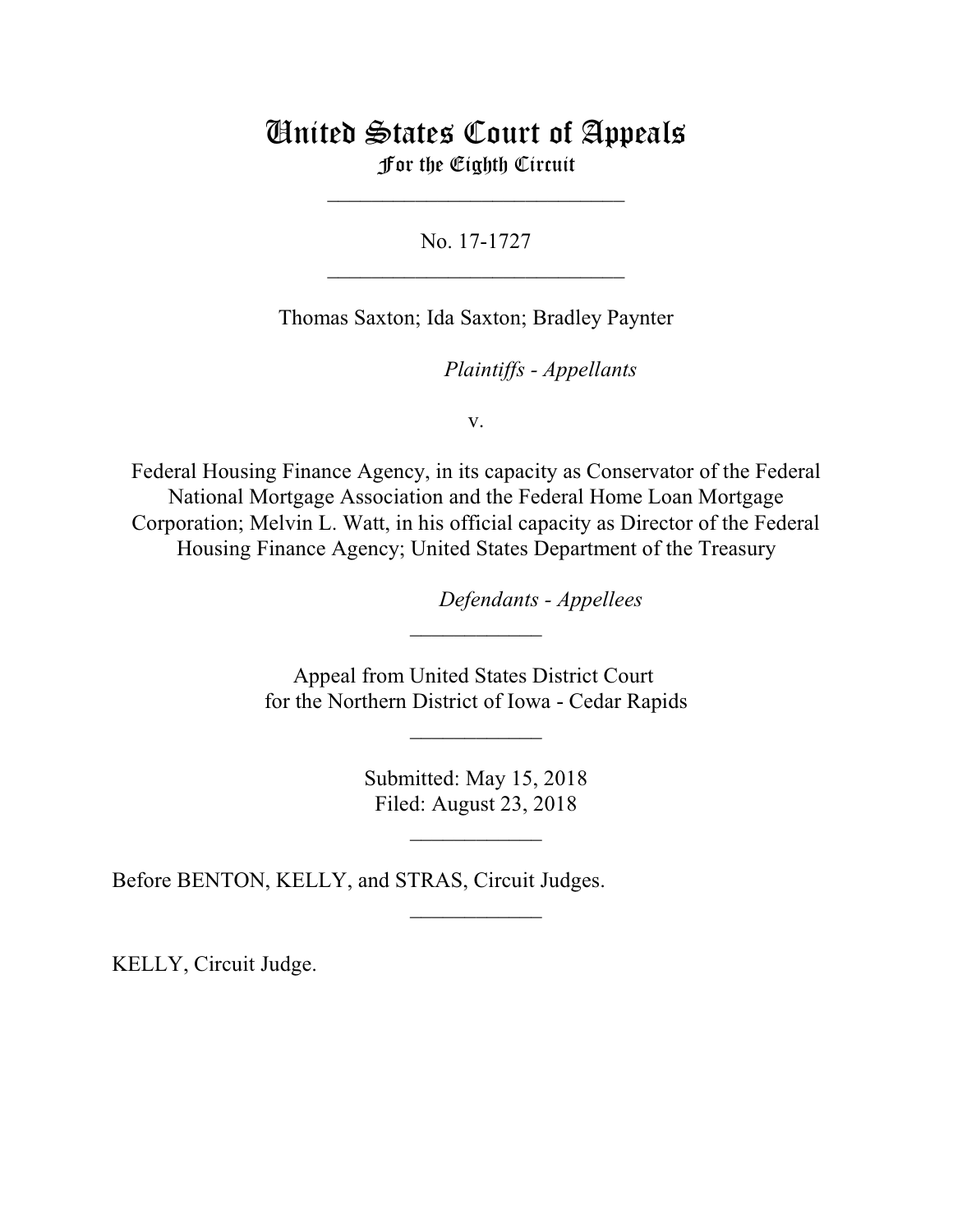# United States Court of Appeals For the Eighth Circuit

\_\_\_\_\_\_\_\_\_\_\_\_\_\_\_\_\_\_\_\_\_\_\_\_\_\_\_

No. 17-1727  $\mathcal{L}_\text{max}$  , which is a set of the set of the set of the set of the set of the set of the set of the set of the set of the set of the set of the set of the set of the set of the set of the set of the set of the set of

Thomas Saxton; Ida Saxton; Bradley Paynter

*Plaintiffs - Appellants* 

v.

Federal Housing Finance Agency, in its capacity as Conservator of the Federal National Mortgage Association and the Federal Home Loan Mortgage Corporation; Melvin L. Watt, in his official capacity as Director of the Federal Housing Finance Agency; United States Department of the Treasury

lllllllllllllllllllll*Defendants - Appellees*

Appeal from United States District Court for the Northern District of Iowa - Cedar Rapids

 $\frac{1}{2}$ 

 $\frac{1}{2}$ 

Submitted: May 15, 2018 Filed: August 23, 2018

\_\_\_\_\_\_\_\_\_\_\_\_

 $\frac{1}{2}$ 

Before BENTON, KELLY, and STRAS, Circuit Judges.

KELLY, Circuit Judge.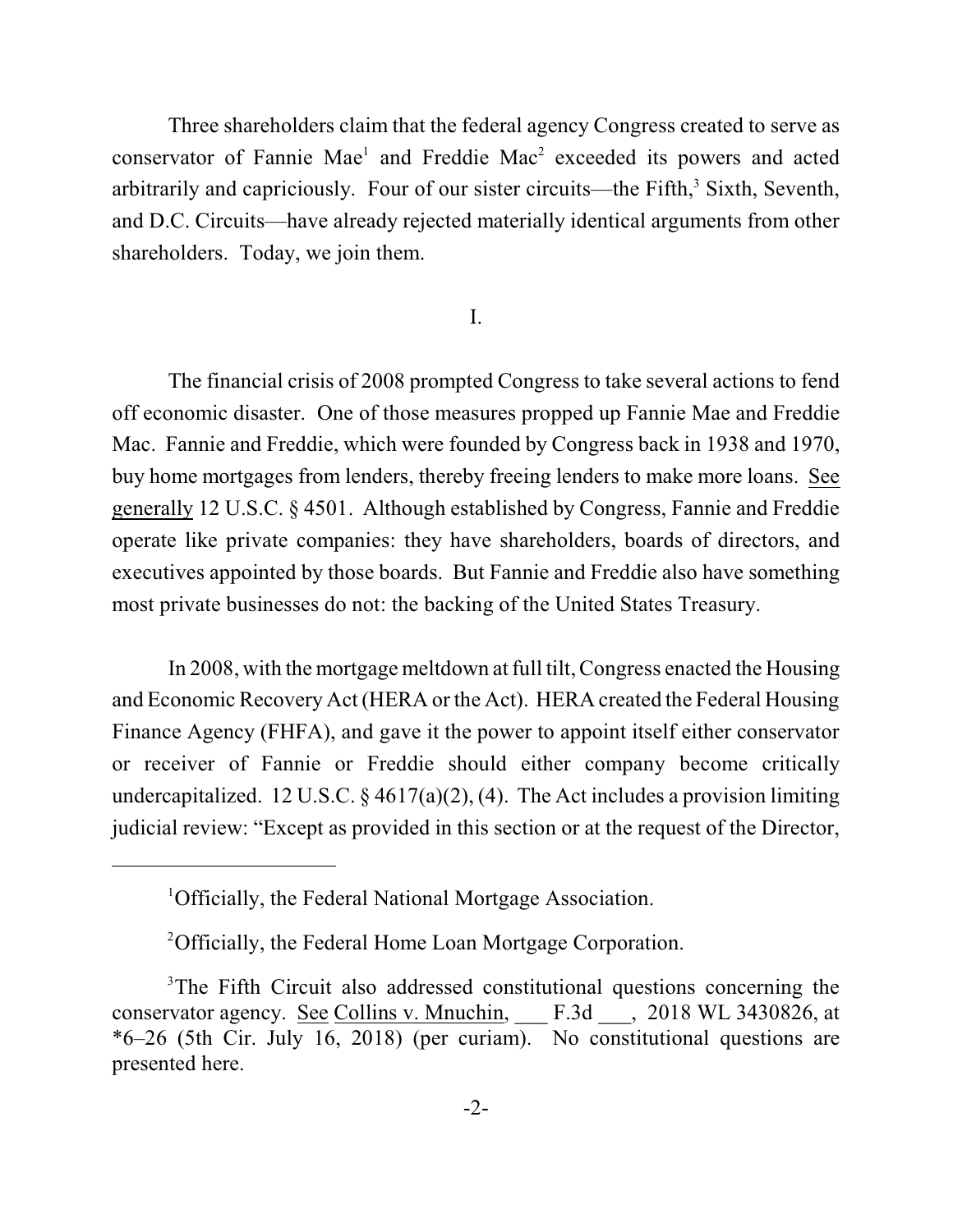Three shareholders claim that the federal agency Congress created to serve as conservator of Fannie Mae<sup>1</sup> and Freddie Mac<sup>2</sup> exceeded its powers and acted arbitrarily and capriciously. Four of our sister circuits—the Fifth,<sup>3</sup> Sixth, Seventh, and D.C. Circuits—have already rejected materially identical arguments from other shareholders. Today, we join them.

## I.

The financial crisis of 2008 prompted Congress to take several actions to fend off economic disaster. One of those measures propped up Fannie Mae and Freddie Mac. Fannie and Freddie, which were founded by Congress back in 1938 and 1970, buy home mortgages from lenders, thereby freeing lenders to make more loans. See generally 12 U.S.C. § 4501. Although established by Congress, Fannie and Freddie operate like private companies: they have shareholders, boards of directors, and executives appointed by those boards. But Fannie and Freddie also have something most private businesses do not: the backing of the United States Treasury.

In 2008, with the mortgage meltdown at full tilt, Congress enacted the Housing and Economic Recovery Act (HERA or the Act). HERA created the Federal Housing Finance Agency (FHFA), and gave it the power to appoint itself either conservator or receiver of Fannie or Freddie should either company become critically undercapitalized. 12 U.S.C. § 4617(a)(2), (4). The Act includes a provision limiting judicial review: "Except as provided in this section or at the request of the Director,

<sup>&</sup>lt;sup>1</sup>Officially, the Federal National Mortgage Association.

<sup>&</sup>lt;sup>2</sup>Officially, the Federal Home Loan Mortgage Corporation.

<sup>&</sup>lt;sup>3</sup>The Fifth Circuit also addressed constitutional questions concerning the conservator agency. See Collins v. Mnuchin, F.3d , 2018 WL 3430826, at \*6–26 (5th Cir. July 16, 2018) (per curiam). No constitutional questions are presented here.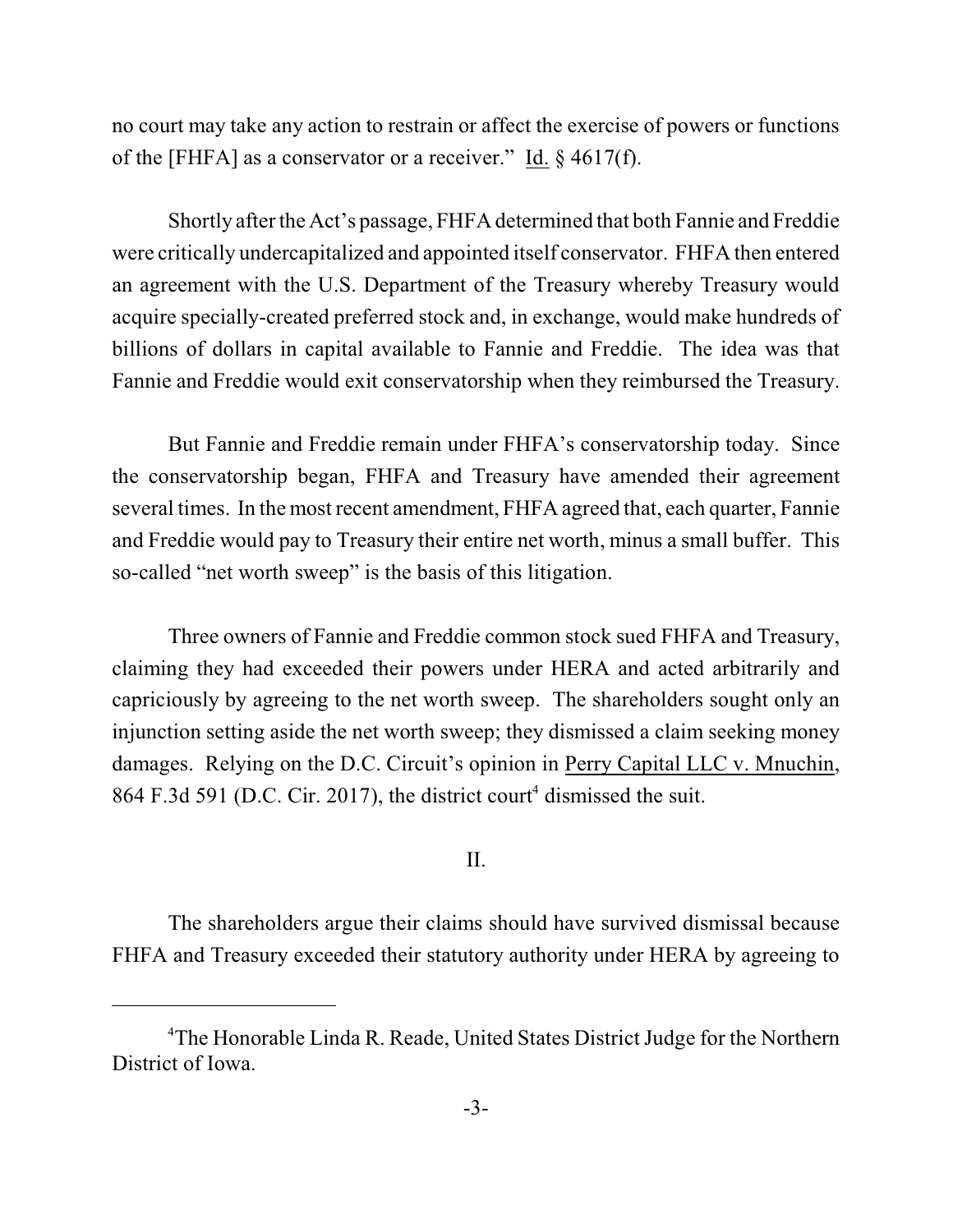no court may take any action to restrain or affect the exercise of powers or functions of the [FHFA] as a conservator or a receiver." Id. § 4617(f).

Shortly after the Act's passage, FHFA determined that both Fannie and Freddie were critically undercapitalized and appointed itself conservator. FHFA then entered an agreement with the U.S. Department of the Treasury whereby Treasury would acquire specially-created preferred stock and, in exchange, would make hundreds of billions of dollars in capital available to Fannie and Freddie. The idea was that Fannie and Freddie would exit conservatorship when they reimbursed the Treasury.

But Fannie and Freddie remain under FHFA's conservatorship today. Since the conservatorship began, FHFA and Treasury have amended their agreement several times. In the most recent amendment, FHFA agreed that, each quarter, Fannie and Freddie would pay to Treasury their entire net worth, minus a small buffer. This so-called "net worth sweep" is the basis of this litigation.

Three owners of Fannie and Freddie common stock sued FHFA and Treasury, claiming they had exceeded their powers under HERA and acted arbitrarily and capriciously by agreeing to the net worth sweep. The shareholders sought only an injunction setting aside the net worth sweep; they dismissed a claim seeking money damages. Relying on the D.C. Circuit's opinion in Perry Capital LLC v. Mnuchin, 864 F.3d 591 (D.C. Cir. 2017), the district court<sup>4</sup> dismissed the suit.

## II.

The shareholders argue their claims should have survived dismissal because FHFA and Treasury exceeded their statutory authority under HERA by agreeing to

<sup>&</sup>lt;sup>4</sup>The Honorable Linda R. Reade, United States District Judge for the Northern District of Iowa.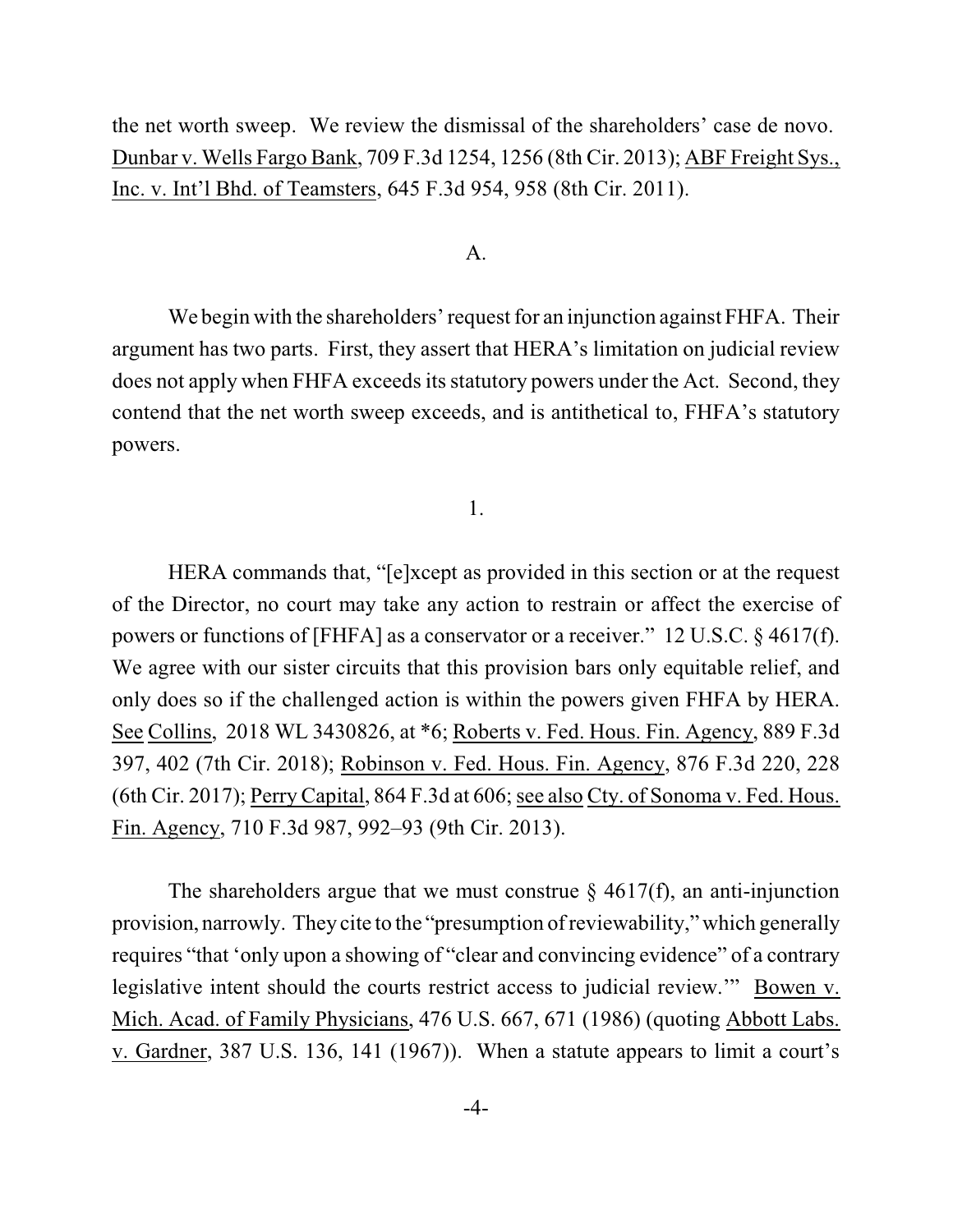the net worth sweep. We review the dismissal of the shareholders' case de novo. Dunbar v. Wells Fargo Bank, 709 F.3d 1254, 1256 (8th Cir. 2013); ABF Freight Sys., Inc. v. Int'l Bhd. of Teamsters, 645 F.3d 954, 958 (8th Cir. 2011).

A.

We begin with the shareholders' request for an injunction against FHFA. Their argument has two parts. First, they assert that HERA's limitation on judicial review does not apply when FHFA exceeds its statutory powers under the Act. Second, they contend that the net worth sweep exceeds, and is antithetical to, FHFA's statutory powers.

1.

HERA commands that, "[e]xcept as provided in this section or at the request of the Director, no court may take any action to restrain or affect the exercise of powers or functions of [FHFA] as a conservator or a receiver." 12 U.S.C. § 4617(f). We agree with our sister circuits that this provision bars only equitable relief, and only does so if the challenged action is within the powers given FHFA by HERA. See Collins, 2018 WL 3430826, at \*6; Roberts v. Fed. Hous. Fin. Agency, 889 F.3d 397, 402 (7th Cir. 2018); Robinson v. Fed. Hous. Fin. Agency, 876 F.3d 220, 228 (6th Cir. 2017); Perry Capital,  $864$  F.3d at  $606$ ; see also Cty. of Sonoma v. Fed. Hous. Fin. Agency, 710 F.3d 987, 992–93 (9th Cir. 2013).

The shareholders argue that we must construe  $\S$  4617(f), an anti-injunction provision, narrowly. They cite to the "presumption ofreviewability," which generally requires "that 'only upon a showing of "clear and convincing evidence" of a contrary legislative intent should the courts restrict access to judicial review.'" Bowen v. Mich. Acad. of Family Physicians, 476 U.S. 667, 671 (1986) (quoting Abbott Labs. v. Gardner, 387 U.S. 136, 141 (1967)). When a statute appears to limit a court's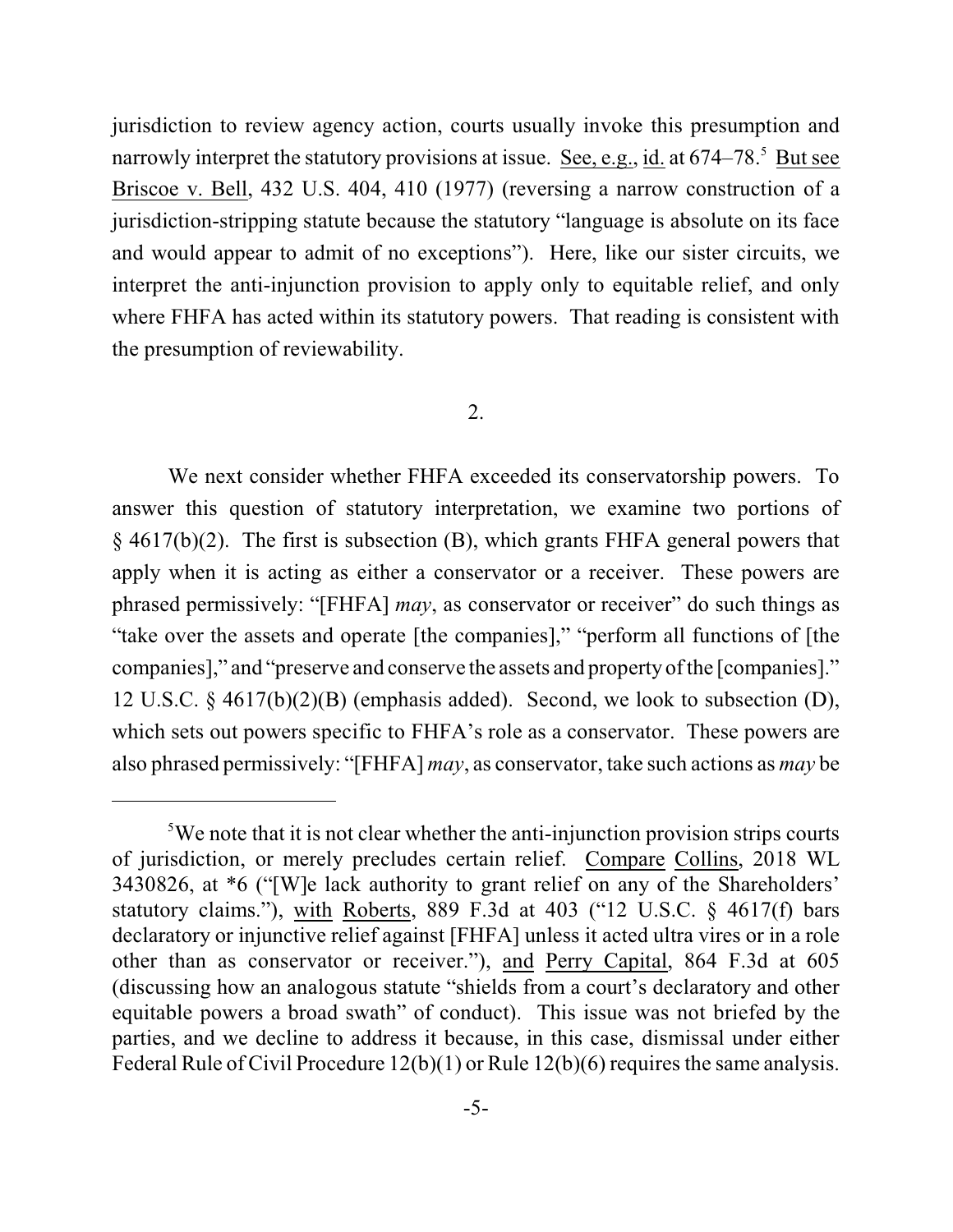jurisdiction to review agency action, courts usually invoke this presumption and narrowly interpret the statutory provisions at issue. See, e.g., id. at 674–78.<sup>5</sup> But see Briscoe v. Bell, 432 U.S. 404, 410 (1977) (reversing a narrow construction of a jurisdiction-stripping statute because the statutory "language is absolute on its face and would appear to admit of no exceptions"). Here, like our sister circuits, we interpret the anti-injunction provision to apply only to equitable relief, and only where FHFA has acted within its statutory powers. That reading is consistent with the presumption of reviewability.

#### 2.

We next consider whether FHFA exceeded its conservatorship powers. To answer this question of statutory interpretation, we examine two portions of  $§$  4617(b)(2). The first is subsection (B), which grants FHFA general powers that apply when it is acting as either a conservator or a receiver. These powers are phrased permissively: "[FHFA] *may*, as conservator or receiver" do such things as "take over the assets and operate [the companies]," "perform all functions of [the companies]," and "preserve and conserve the assets and property ofthe [companies]." 12 U.S.C. § 4617(b)(2)(B) (emphasis added). Second, we look to subsection (D), which sets out powers specific to FHFA's role as a conservator. These powers are also phrased permissively: "[FHFA] *may*, as conservator, take such actions as *may* be

 $\mu$ <sup>5</sup>We note that it is not clear whether the anti-injunction provision strips courts of jurisdiction, or merely precludes certain relief. Compare Collins, 2018 WL 3430826, at \*6 ("[W]e lack authority to grant relief on any of the Shareholders' statutory claims."), with Roberts, 889 F.3d at 403 ("12 U.S.C. § 4617(f) bars declaratory or injunctive relief against [FHFA] unless it acted ultra vires or in a role other than as conservator or receiver."), and Perry Capital, 864 F.3d at 605 (discussing how an analogous statute "shields from a court's declaratory and other equitable powers a broad swath" of conduct). This issue was not briefed by the parties, and we decline to address it because, in this case, dismissal under either Federal Rule of Civil Procedure  $12(b)(1)$  or Rule  $12(b)(6)$  requires the same analysis.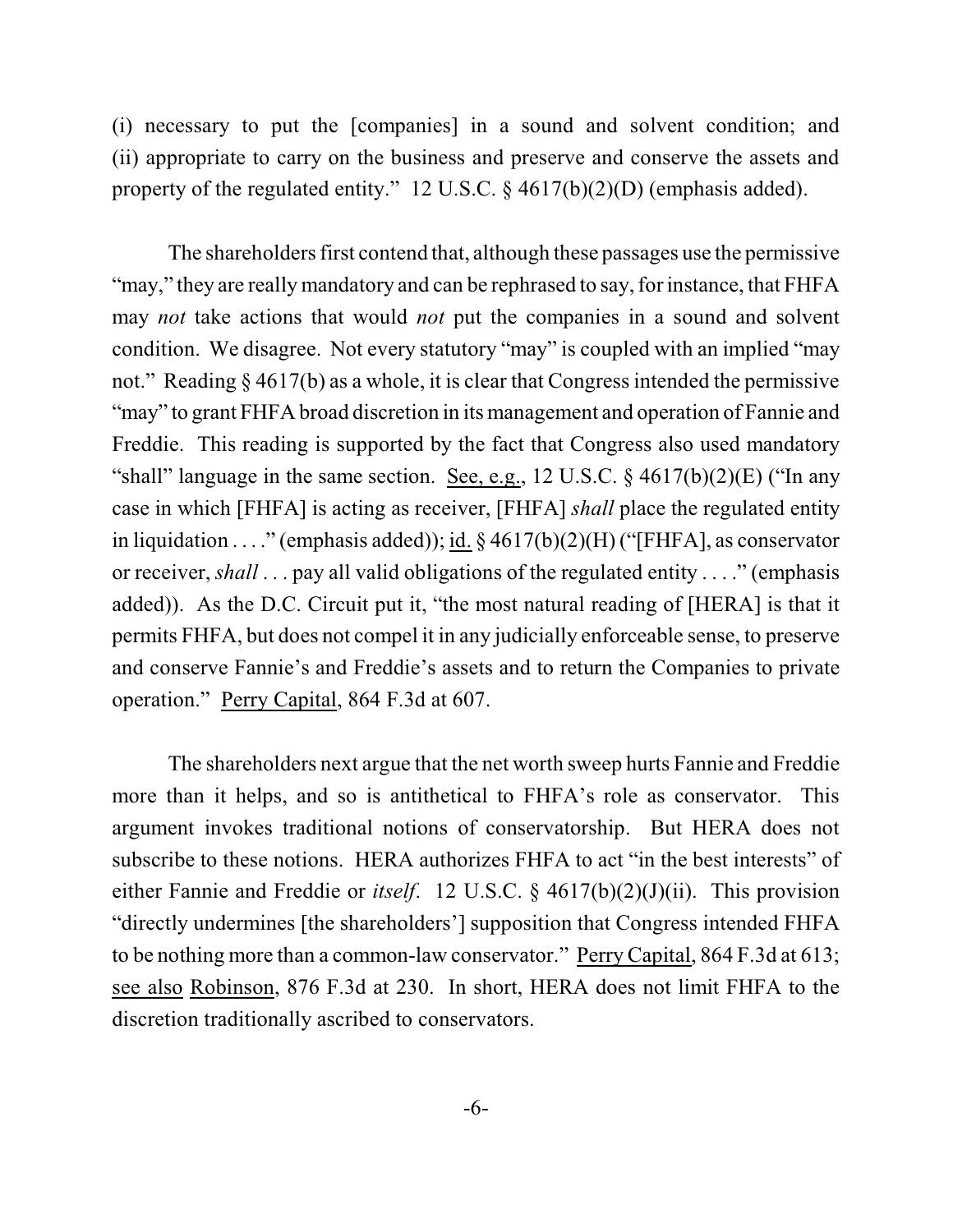(i) necessary to put the [companies] in a sound and solvent condition; and (ii) appropriate to carry on the business and preserve and conserve the assets and property of the regulated entity." 12 U.S.C. § 4617(b)(2)(D) (emphasis added).

The shareholders first contend that, although these passages use the permissive "may," they are really mandatory and can be rephrased to say, for instance, that FHFA may *not* take actions that would *not* put the companies in a sound and solvent condition. We disagree. Not every statutory "may" is coupled with an implied "may not." Reading § 4617(b) as a whole, it is clear that Congress intended the permissive "may" to grant FHFA broad discretion in its management and operation of Fannie and Freddie. This reading is supported by the fact that Congress also used mandatory "shall" language in the same section. See, e.g., 12 U.S.C.  $\S$  4617(b)(2)(E) ("In any case in which [FHFA] is acting as receiver, [FHFA] *shall* place the regulated entity in liquidation  $\dots$ " (emphasis added)); id. § 4617(b)(2)(H) ("[FHFA], as conservator or receiver, *shall* . . . pay all valid obligations of the regulated entity . . . ." (emphasis added)). As the D.C. Circuit put it, "the most natural reading of [HERA] is that it permits FHFA, but does not compel it in any judicially enforceable sense, to preserve and conserve Fannie's and Freddie's assets and to return the Companies to private operation." Perry Capital, 864 F.3d at 607.

The shareholders next argue that the net worth sweep hurts Fannie and Freddie more than it helps, and so is antithetical to FHFA's role as conservator. This argument invokes traditional notions of conservatorship. But HERA does not subscribe to these notions. HERA authorizes FHFA to act "in the best interests" of either Fannie and Freddie or *itself*. 12 U.S.C. § 4617(b)(2)(J)(ii). This provision "directly undermines [the shareholders'] supposition that Congress intended FHFA to be nothing more than a common-law conservator." Perry Capital, 864 F.3d at 613; see also Robinson, 876 F.3d at 230. In short, HERA does not limit FHFA to the discretion traditionally ascribed to conservators.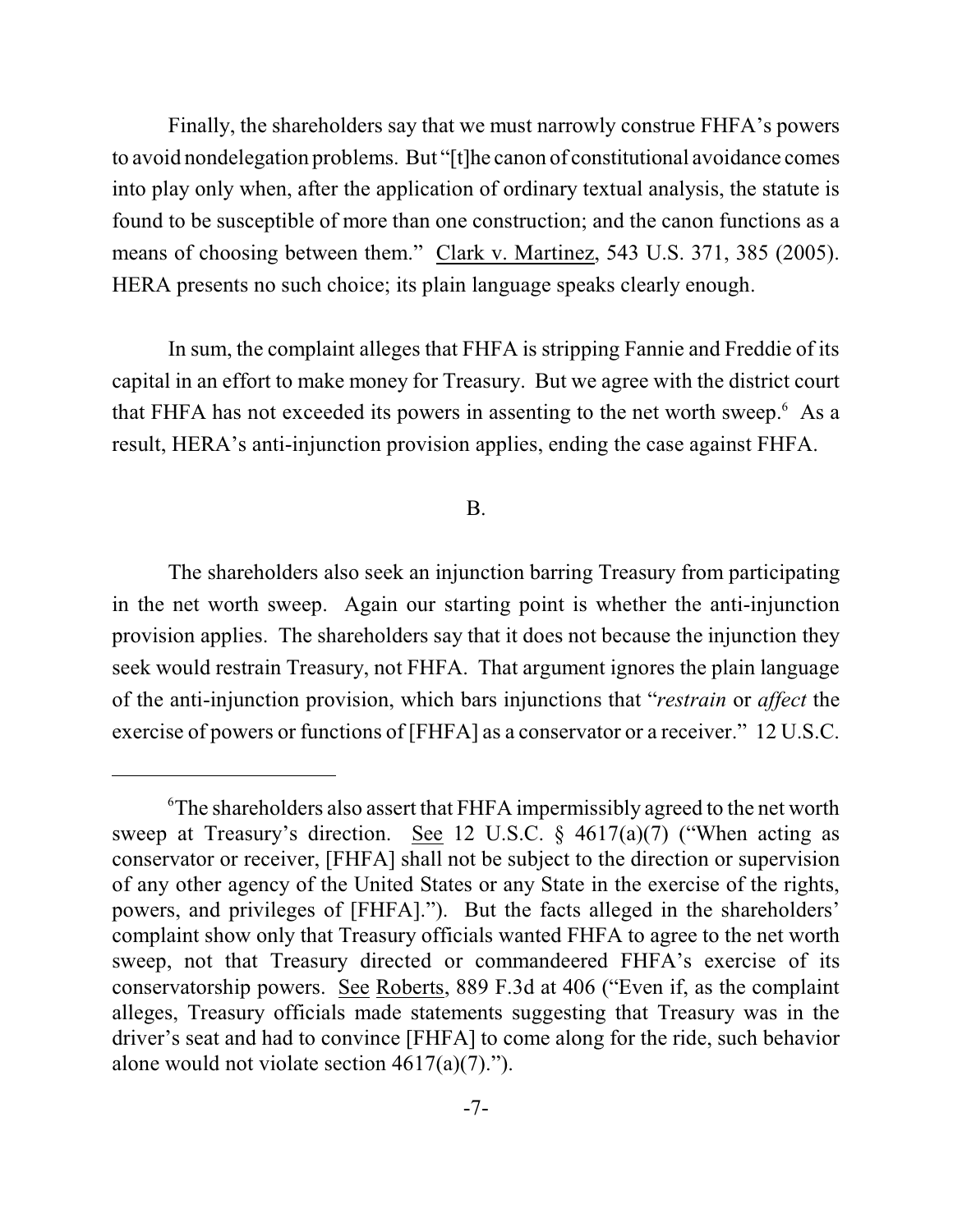Finally, the shareholders say that we must narrowly construe FHFA's powers to avoid nondelegation problems. But "[t]he canon of constitutional avoidance comes into play only when, after the application of ordinary textual analysis, the statute is found to be susceptible of more than one construction; and the canon functions as a means of choosing between them." Clark v. Martinez, 543 U.S. 371, 385 (2005). HERA presents no such choice; its plain language speaks clearly enough.

In sum, the complaint alleges that FHFA is stripping Fannie and Freddie of its capital in an effort to make money for Treasury. But we agree with the district court that FHFA has not exceeded its powers in assenting to the net worth sweep. $6$  As a result, HERA's anti-injunction provision applies, ending the case against FHFA.

## B.

The shareholders also seek an injunction barring Treasury from participating in the net worth sweep. Again our starting point is whether the anti-injunction provision applies. The shareholders say that it does not because the injunction they seek would restrain Treasury, not FHFA. That argument ignores the plain language of the anti-injunction provision, which bars injunctions that "*restrain* or *affect* the exercise of powers or functions of [FHFA] as a conservator or a receiver." 12 U.S.C.

<sup>&</sup>lt;sup>6</sup>The shareholders also assert that FHFA impermissibly agreed to the net worth sweep at Treasury's direction. See 12 U.S.C.  $\S$  4617(a)(7) ("When acting as conservator or receiver, [FHFA] shall not be subject to the direction or supervision of any other agency of the United States or any State in the exercise of the rights, powers, and privileges of [FHFA]."). But the facts alleged in the shareholders' complaint show only that Treasury officials wanted FHFA to agree to the net worth sweep, not that Treasury directed or commandeered FHFA's exercise of its conservatorship powers. See Roberts, 889 F.3d at 406 ("Even if, as the complaint alleges, Treasury officials made statements suggesting that Treasury was in the driver's seat and had to convince [FHFA] to come along for the ride, such behavior alone would not violate section  $4617(a)(7)$ .").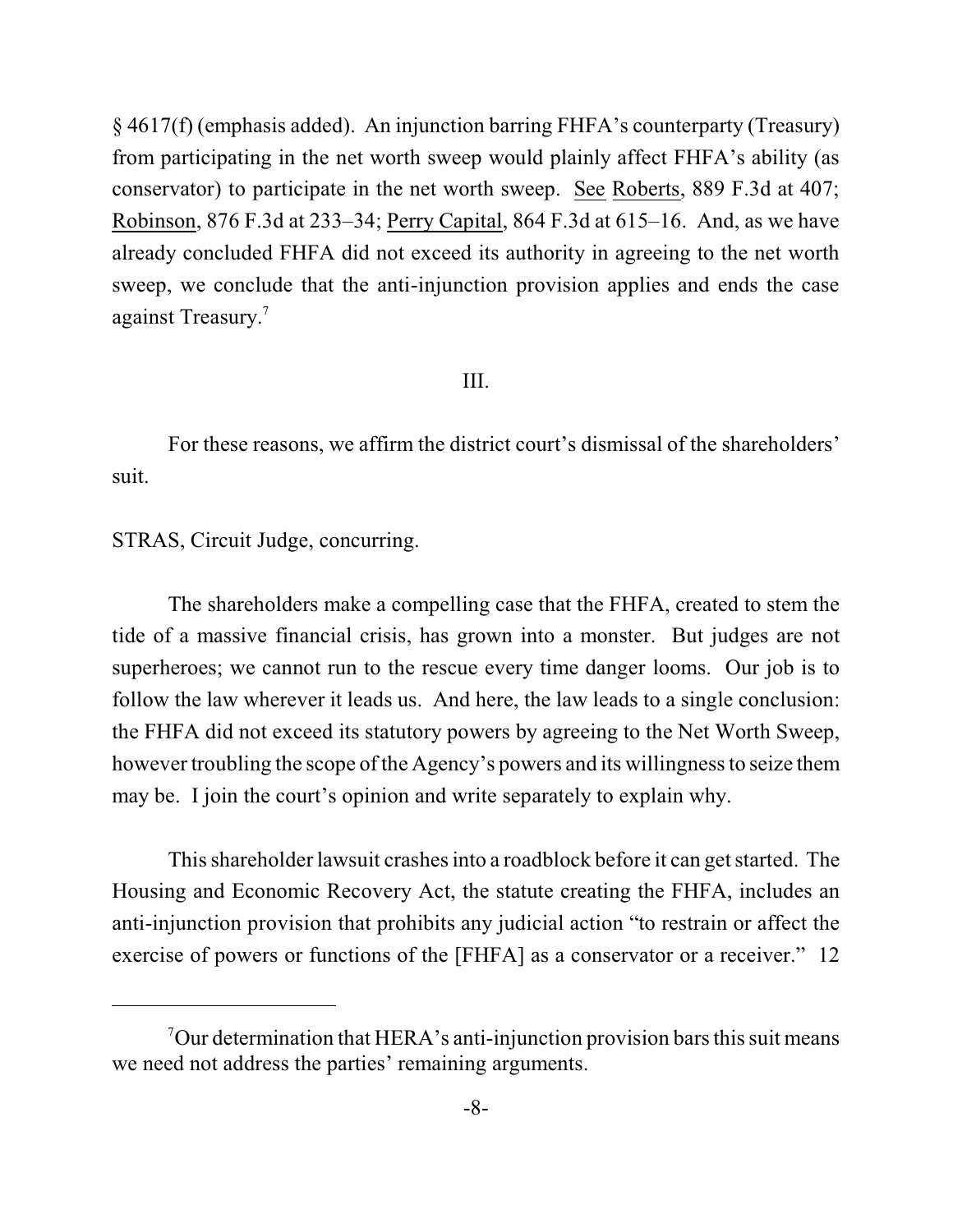§ 4617(f) (emphasis added). An injunction barring FHFA's counterparty (Treasury) from participating in the net worth sweep would plainly affect FHFA's ability (as conservator) to participate in the net worth sweep. See Roberts, 889 F.3d at 407; Robinson, 876 F.3d at 233–34; Perry Capital, 864 F.3d at 615–16. And, as we have already concluded FHFA did not exceed its authority in agreeing to the net worth sweep, we conclude that the anti-injunction provision applies and ends the case against Treasury. 7

#### III.

For these reasons, we affirm the district court's dismissal of the shareholders' suit.

STRAS, Circuit Judge, concurring.

The shareholders make a compelling case that the FHFA, created to stem the tide of a massive financial crisis, has grown into a monster. But judges are not superheroes; we cannot run to the rescue every time danger looms. Our job is to follow the law wherever it leads us. And here, the law leads to a single conclusion: the FHFA did not exceed its statutory powers by agreeing to the Net Worth Sweep, however troubling the scope of the Agency's powers and its willingnessto seize them may be. I join the court's opinion and write separately to explain why.

This shareholder lawsuit crashes into a roadblock before it can get started. The Housing and Economic Recovery Act, the statute creating the FHFA, includes an anti-injunction provision that prohibits any judicial action "to restrain or affect the exercise of powers or functions of the [FHFA] as a conservator or a receiver." 12

 $\sqrt{7}$ Our determination that HERA's anti-injunction provision bars this suit means we need not address the parties' remaining arguments.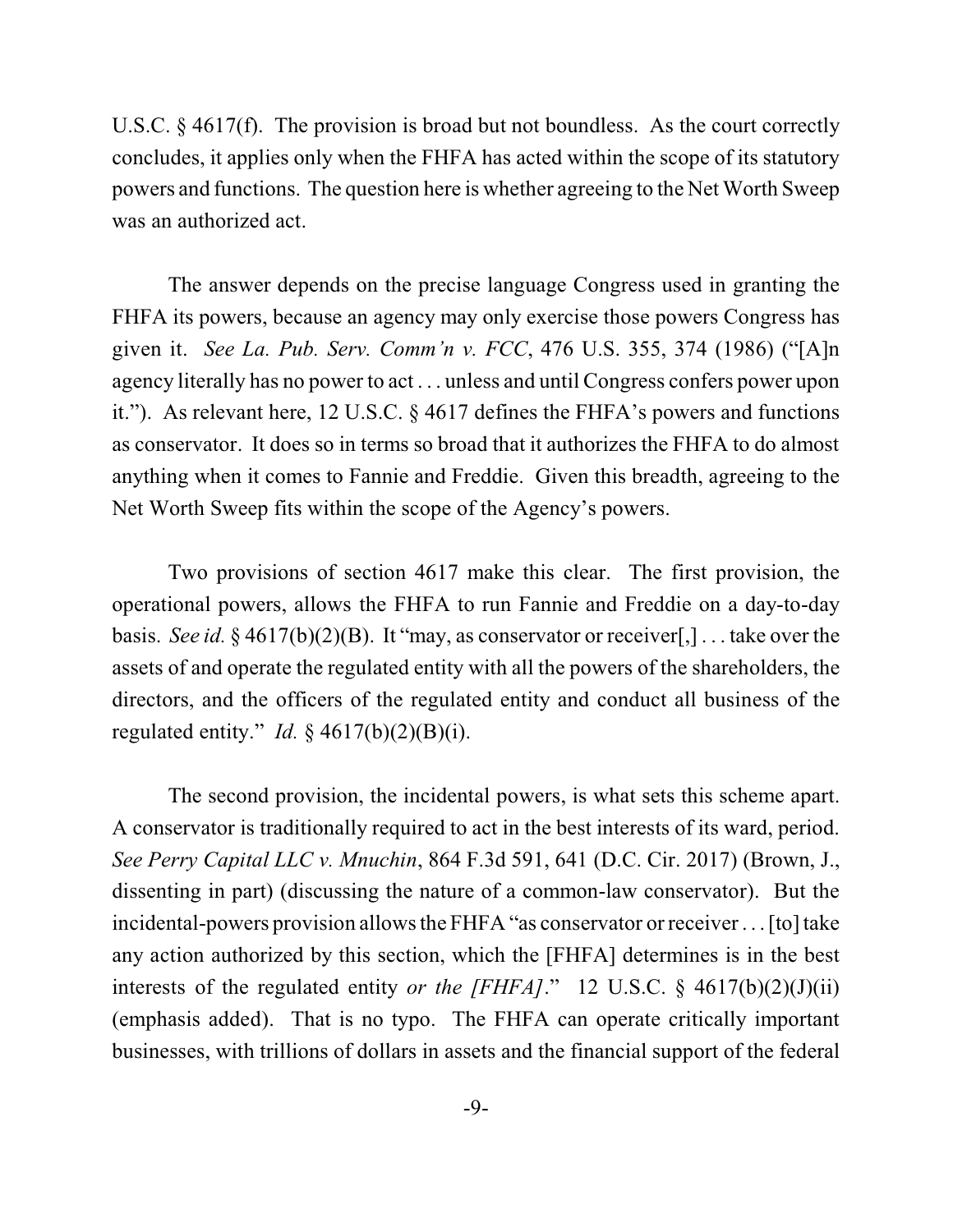U.S.C. § 4617(f). The provision is broad but not boundless. As the court correctly concludes, it applies only when the FHFA has acted within the scope of its statutory powers and functions. The question here is whether agreeing to the Net Worth Sweep was an authorized act.

The answer depends on the precise language Congress used in granting the FHFA its powers, because an agency may only exercise those powers Congress has given it. *See La. Pub. Serv. Comm'n v. FCC*, 476 U.S. 355, 374 (1986) ("[A]n agency literally has no power to act . . . unless and until Congress confers power upon it."). As relevant here, 12 U.S.C. § 4617 defines the FHFA's powers and functions as conservator. It does so in terms so broad that it authorizes the FHFA to do almost anything when it comes to Fannie and Freddie. Given this breadth, agreeing to the Net Worth Sweep fits within the scope of the Agency's powers.

Two provisions of section 4617 make this clear. The first provision, the operational powers, allows the FHFA to run Fannie and Freddie on a day-to-day basis. *See id.* § 4617(b)(2)(B). It "may, as conservator or receiver[,] . . . take over the assets of and operate the regulated entity with all the powers of the shareholders, the directors, and the officers of the regulated entity and conduct all business of the regulated entity." *Id.* § 4617(b)(2)(B)(i).

The second provision, the incidental powers, is what sets this scheme apart. A conservator is traditionally required to act in the best interests of its ward, period. *See Perry Capital LLC v. Mnuchin*, 864 F.3d 591, 641 (D.C. Cir. 2017) (Brown, J., dissenting in part) (discussing the nature of a common-law conservator). But the incidental-powers provision allows the FHFA "as conservator or receiver . . . [to] take any action authorized by this section, which the [FHFA] determines is in the best interests of the regulated entity *or the [FHFA]*." 12 U.S.C.  $\S$  4617(b)(2)(J)(ii) (emphasis added). That is no typo. The FHFA can operate critically important businesses, with trillions of dollars in assets and the financial support of the federal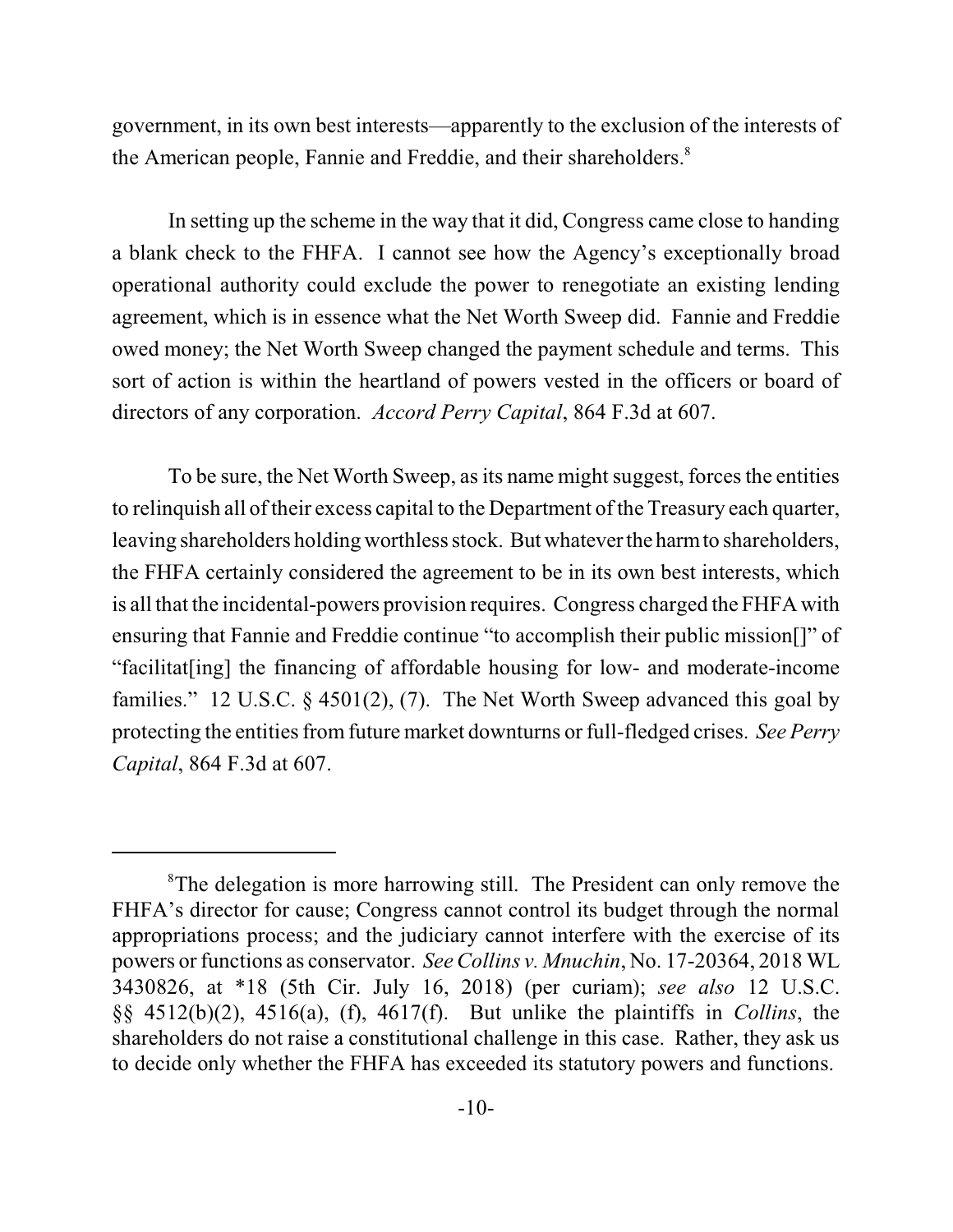government, in its own best interests—apparently to the exclusion of the interests of the American people, Fannie and Freddie, and their shareholders.<sup>8</sup>

In setting up the scheme in the way that it did, Congress came close to handing a blank check to the FHFA. I cannot see how the Agency's exceptionally broad operational authority could exclude the power to renegotiate an existing lending agreement, which is in essence what the Net Worth Sweep did. Fannie and Freddie owed money; the Net Worth Sweep changed the payment schedule and terms. This sort of action is within the heartland of powers vested in the officers or board of directors of any corporation. *Accord Perry Capital*, 864 F.3d at 607.

To be sure, the Net Worth Sweep, as its name might suggest, forces the entities to relinquish all of their excess capital to the Department of the Treasury each quarter, leaving shareholders holding worthless stock. But whatever the harm to shareholders, the FHFA certainly considered the agreement to be in its own best interests, which is all that the incidental-powers provision requires. Congress charged the FHFA with ensuring that Fannie and Freddie continue "to accomplish their public mission[]" of "facilitat[ing] the financing of affordable housing for low- and moderate-income families." 12 U.S.C. § 4501(2), (7). The Net Worth Sweep advanced this goal by protecting the entities from future market downturns or full-fledged crises. *See Perry Capital*, 864 F.3d at 607.

<sup>&</sup>lt;sup>8</sup>The delegation is more harrowing still. The President can only remove the FHFA's director for cause; Congress cannot control its budget through the normal appropriations process; and the judiciary cannot interfere with the exercise of its powers or functions as conservator. *See Collins v. Mnuchin*, No. 17-20364, 2018 WL 3430826, at \*18 (5th Cir. July 16, 2018) (per curiam); *see also* 12 U.S.C. §§ 4512(b)(2), 4516(a), (f), 4617(f). But unlike the plaintiffs in *Collins*, the shareholders do not raise a constitutional challenge in this case. Rather, they ask us to decide only whether the FHFA has exceeded its statutory powers and functions.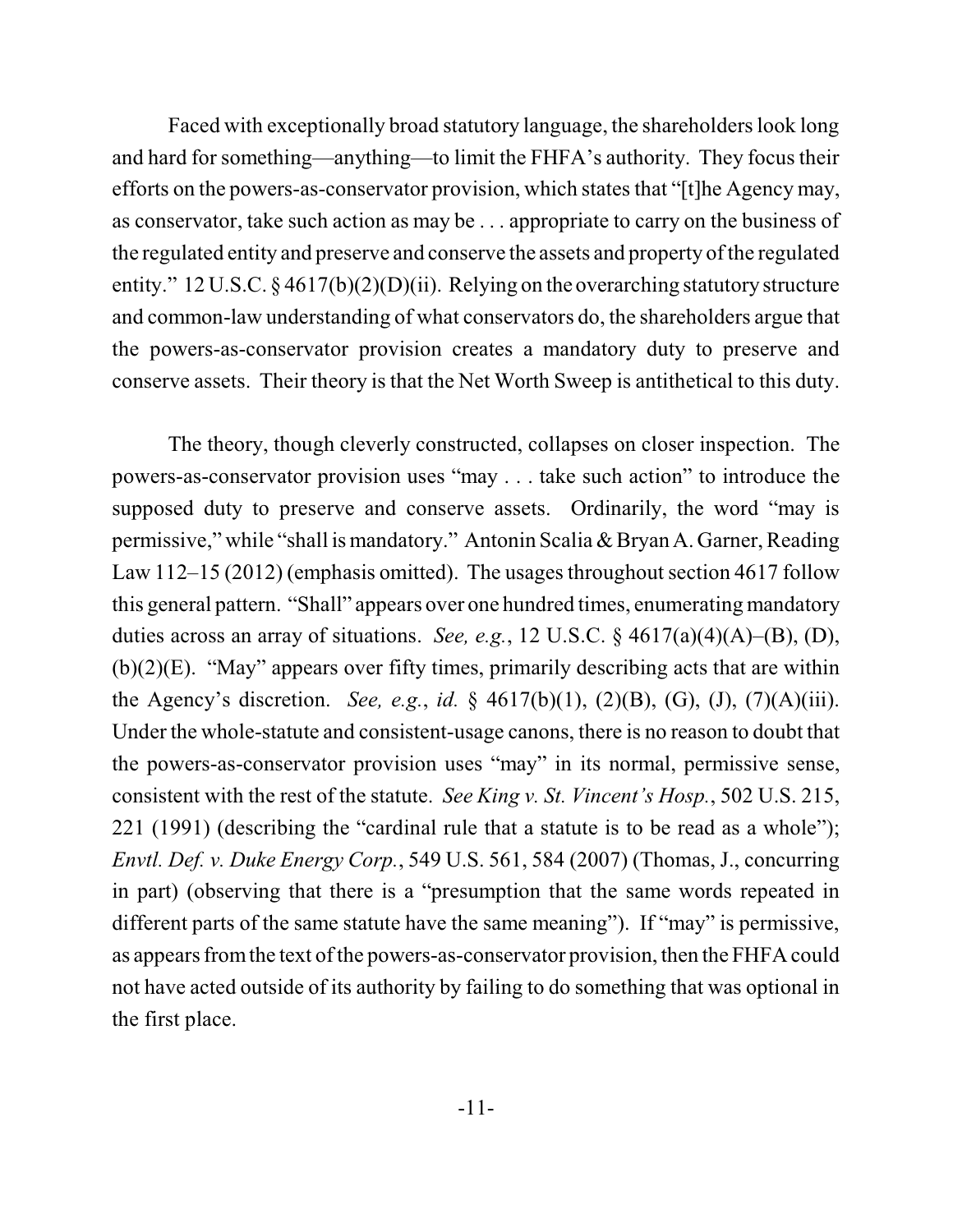Faced with exceptionally broad statutory language, the shareholders look long and hard for something—anything—to limit the FHFA's authority. They focus their efforts on the powers-as-conservator provision, which states that "[t]he Agency may, as conservator, take such action as may be . . . appropriate to carry on the business of the regulated entity and preserve and conserve the assets and property of the regulated entity." 12 U.S.C.  $\S 4617(b)(2)(D)(ii)$ . Relying on the overarching statutory structure and common-law understanding of what conservators do, the shareholders argue that the powers-as-conservator provision creates a mandatory duty to preserve and conserve assets. Their theory is that the Net Worth Sweep is antithetical to this duty.

The theory, though cleverly constructed, collapses on closer inspection. The powers-as-conservator provision uses "may . . . take such action" to introduce the supposed duty to preserve and conserve assets. Ordinarily, the word "may is permissive," while "shall is mandatory." Antonin Scalia& Bryan A. Garner, Reading Law 112–15 (2012) (emphasis omitted). The usages throughout section 4617 follow this general pattern. "Shall" appears over one hundred times, enumerating mandatory duties across an array of situations. *See, e.g.*, 12 U.S.C. § 4617(a)(4)(A)–(B), (D), (b)(2)(E). "May" appears over fifty times, primarily describing acts that are within the Agency's discretion. *See, e.g.*, *id.* § 4617(b)(1), (2)(B), (G), (J), (7)(A)(iii). Under the whole-statute and consistent-usage canons, there is no reason to doubt that the powers-as-conservator provision uses "may" in its normal, permissive sense, consistent with the rest of the statute. *See King v. St. Vincent's Hosp.*, 502 U.S. 215, 221 (1991) (describing the "cardinal rule that a statute is to be read as a whole"); *Envtl. Def. v. Duke Energy Corp.*, 549 U.S. 561, 584 (2007) (Thomas, J., concurring in part) (observing that there is a "presumption that the same words repeated in different parts of the same statute have the same meaning"). If "may" is permissive, as appears from the text of the powers-as-conservator provision, then the FHFA could not have acted outside of its authority by failing to do something that was optional in the first place.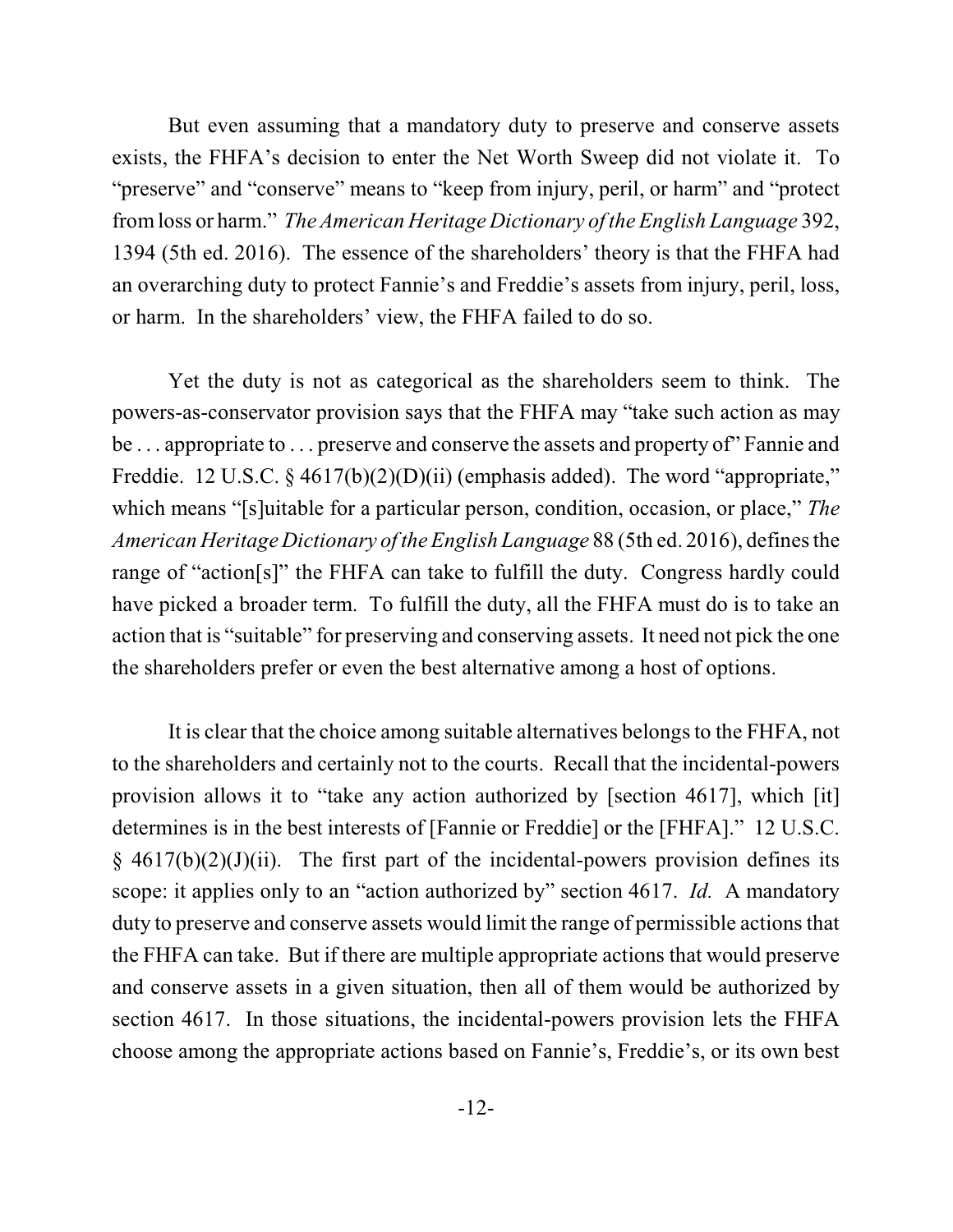But even assuming that a mandatory duty to preserve and conserve assets exists, the FHFA's decision to enter the Net Worth Sweep did not violate it. To "preserve" and "conserve" means to "keep from injury, peril, or harm" and "protect fromloss or harm." *The American Heritage Dictionary of the English Language* 392, 1394 (5th ed. 2016). The essence of the shareholders' theory is that the FHFA had an overarching duty to protect Fannie's and Freddie's assets from injury, peril, loss, or harm. In the shareholders' view, the FHFA failed to do so.

Yet the duty is not as categorical as the shareholders seem to think. The powers-as-conservator provision says that the FHFA may "take such action as may be . . . appropriate to . . . preserve and conserve the assets and property of" Fannie and Freddie. 12 U.S.C. § 4617(b)(2)(D)(ii) (emphasis added). The word "appropriate," which means "[s]uitable for a particular person, condition, occasion, or place," *The American Heritage Dictionary of the English Language* 88 (5th ed. 2016), definesthe range of "action[s]" the FHFA can take to fulfill the duty. Congress hardly could have picked a broader term. To fulfill the duty, all the FHFA must do is to take an action that is "suitable" for preserving and conserving assets. It need not pick the one the shareholders prefer or even the best alternative among a host of options.

It is clear that the choice among suitable alternatives belongs to the FHFA, not to the shareholders and certainly not to the courts. Recall that the incidental-powers provision allows it to "take any action authorized by [section 4617], which [it] determines is in the best interests of [Fannie or Freddie] or the [FHFA]." 12 U.S.C.  $§$  4617(b)(2)(J)(ii). The first part of the incidental-powers provision defines its scope: it applies only to an "action authorized by" section 4617. *Id.* A mandatory duty to preserve and conserve assets would limit the range of permissible actions that the FHFA can take. But if there are multiple appropriate actions that would preserve and conserve assets in a given situation, then all of them would be authorized by section 4617. In those situations, the incidental-powers provision lets the FHFA choose among the appropriate actions based on Fannie's, Freddie's, or its own best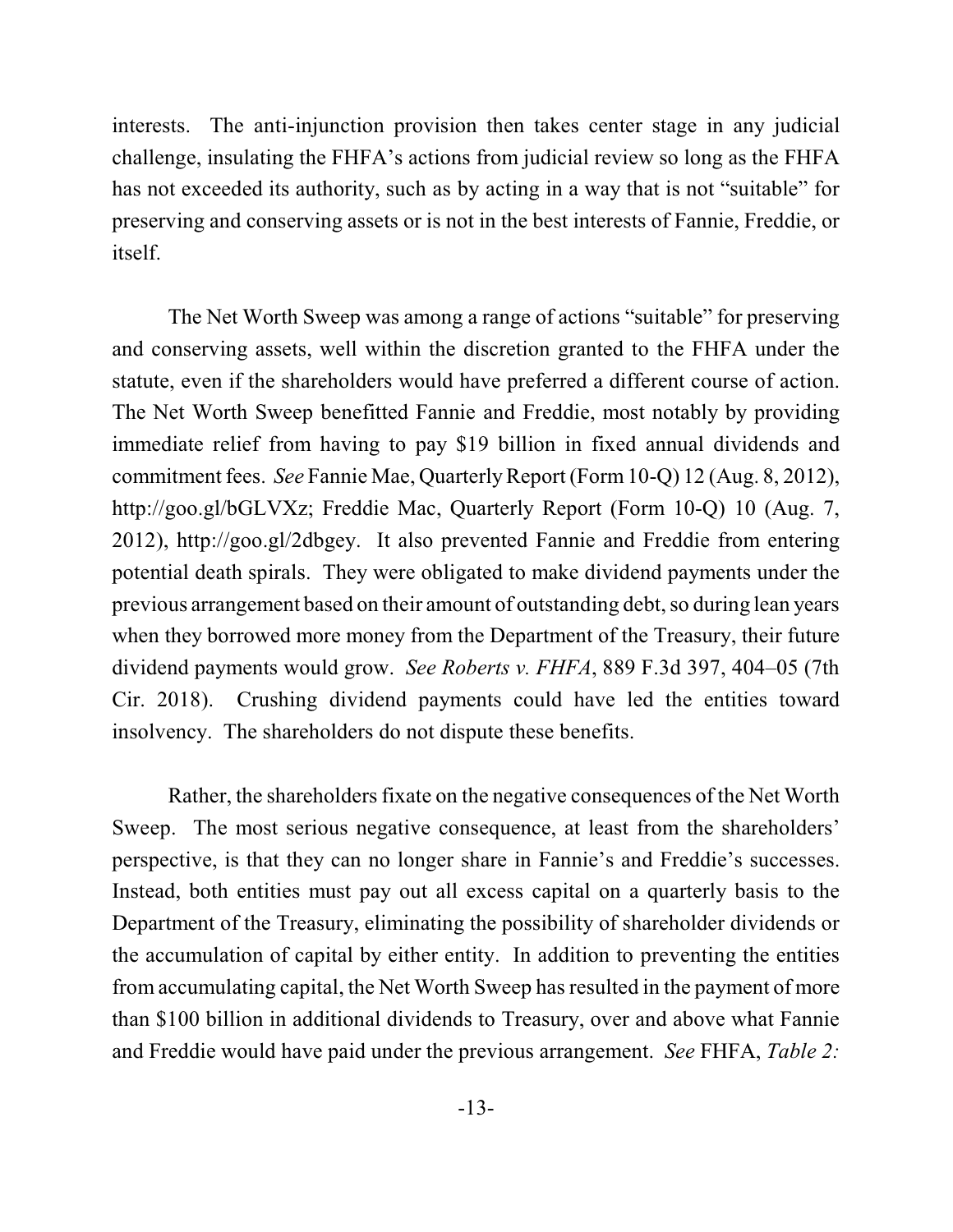interests. The anti-injunction provision then takes center stage in any judicial challenge, insulating the FHFA's actions from judicial review so long as the FHFA has not exceeded its authority, such as by acting in a way that is not "suitable" for preserving and conserving assets or is not in the best interests of Fannie, Freddie, or itself.

The Net Worth Sweep was among a range of actions "suitable" for preserving and conserving assets, well within the discretion granted to the FHFA under the statute, even if the shareholders would have preferred a different course of action. The Net Worth Sweep benefitted Fannie and Freddie, most notably by providing immediate relief from having to pay \$19 billion in fixed annual dividends and commitment fees. *See* Fannie Mae, Quarterly Report (Form10-Q) 12 (Aug. 8, 2012), http://goo.gl/bGLVXz; Freddie Mac, Quarterly Report (Form 10-Q) 10 (Aug. 7, 2012), http://goo.gl/2dbgey. It also prevented Fannie and Freddie from entering potential death spirals. They were obligated to make dividend payments under the previous arrangement based on their amount of outstanding debt, so during lean years when they borrowed more money from the Department of the Treasury, their future dividend payments would grow. *See Roberts v. FHFA*, 889 F.3d 397, 404–05 (7th Cir. 2018). Crushing dividend payments could have led the entities toward insolvency. The shareholders do not dispute these benefits.

Rather, the shareholders fixate on the negative consequences of the Net Worth Sweep. The most serious negative consequence, at least from the shareholders' perspective, is that they can no longer share in Fannie's and Freddie's successes. Instead, both entities must pay out all excess capital on a quarterly basis to the Department of the Treasury, eliminating the possibility of shareholder dividends or the accumulation of capital by either entity. In addition to preventing the entities from accumulating capital, the Net Worth Sweep has resulted in the payment of more than \$100 billion in additional dividends to Treasury, over and above what Fannie and Freddie would have paid under the previous arrangement. *See* FHFA, *Table 2:*